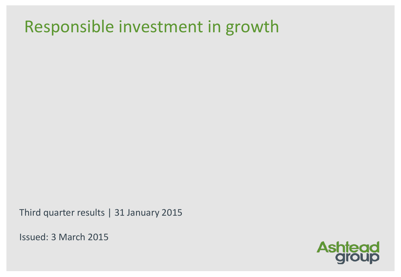## Responsible investment in growth

Third quarter results | 31 January 2015

Issued: 3 March 2015

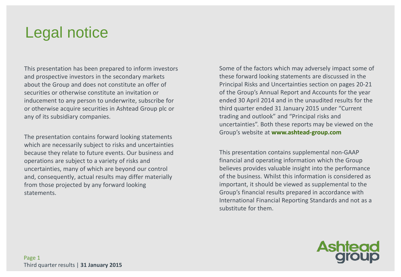## Legal notice

This presentation has been prepared to inform investors and prospective investors in the secondary markets about the Group and does not constitute an offer of securities or otherwise constitute an invitation or inducement to any person to underwrite, subscribe for or otherwise acquire securities in Ashtead Group plc or any of its subsidiary companies.

The presentation contains forward looking statements which are necessarily subject to risks and uncertainties because they relate to future events. Our business and operations are subject to a variety of risks and uncertainties, many of which are beyond our control and, consequently, actual results may differ materially from those projected by any forward looking statements.

Some of the factors which may adversely impact some of these forward looking statements are discussed in the Principal Risks and Uncertainties section on pages 20-21 of the Group's Annual Report and Accounts for the year ended 30 April 2014 and in the unaudited results for the third quarter ended 31 January 2015 under "Current trading and outlook" and "Principal risks and uncertainties". Both these reports may be viewed on the Group's website at **www.ashtead-group.com**

This presentation contains supplemental non-GAAP financial and operating information which the Group believes provides valuable insight into the performance of the business. Whilst this information is considered as important, it should be viewed as supplemental to the Group's financial results prepared in accordance with International Financial Reporting Standards and not as a substitute for them.

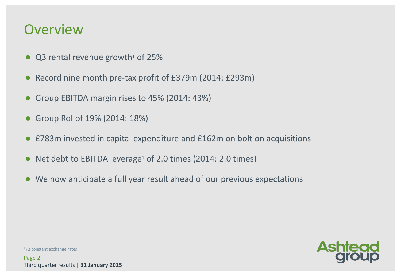### **Overview**

- $\bullet$  Q3 rental revenue growth<sup>1</sup> of 25%
- Record nine month pre-tax profit of £379m (2014: £293m)
- Group EBITDA margin rises to 45% (2014: 43%)
- Group RoI of 19% (2014: 18%)
- £783m invested in capital expenditure and £162m on bolt on acquisitions
- Net debt to EBITDA leverage<sup>1</sup> of 2.0 times (2014: 2.0 times)
- We now anticipate a full year result ahead of our previous expectations

<sup>1</sup> At constant exchange rates

Page 2 Third quarter results | **31 January 2015**

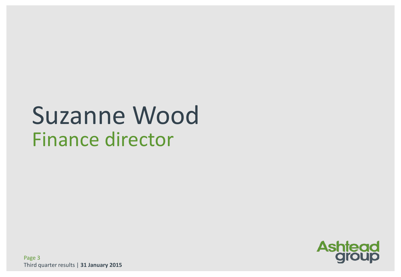# Suzanne Wood Finance director

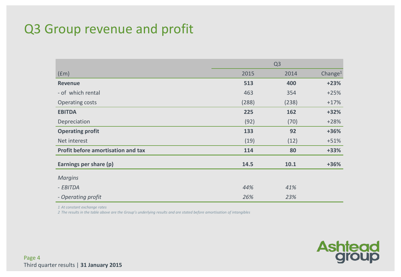### Q3 Group revenue and profit

|                                    | Q <sub>3</sub> |       |                     |  |
|------------------------------------|----------------|-------|---------------------|--|
| (fm)                               | 2015           | 2014  | Change <sup>1</sup> |  |
| <b>Revenue</b>                     | 513            | 400   | $+23%$              |  |
| - of which rental                  | 463            | 354   | $+25%$              |  |
| Operating costs                    | (288)          | (238) | $+17%$              |  |
| <b>EBITDA</b>                      | 225            | 162   | $+32%$              |  |
| Depreciation                       | (92)           | (70)  | $+28%$              |  |
| <b>Operating profit</b>            | 133            | 92    | +36%                |  |
| Net interest                       | (19)           | (12)  | $+51%$              |  |
| Profit before amortisation and tax | 114            | 80    | $+33%$              |  |
| Earnings per share (p)             | 14.5           | 10.1  | +36%                |  |
| <b>Margins</b>                     |                |       |                     |  |
| - EBITDA                           | 44%            | 41%   |                     |  |
| - Operating profit                 | 26%            | 23%   |                     |  |

*1 At constant exchange rates*

*2 The results in the table above are the Group's underlying results and are stated before amortisation of intangibles*

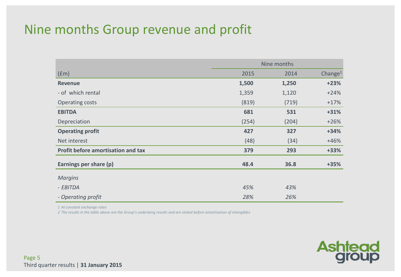### Nine months Group revenue and profit

|                                           | Nine months |       |            |  |
|-------------------------------------------|-------------|-------|------------|--|
| (fm)                                      | 2015        | 2014  | Change $1$ |  |
| <b>Revenue</b>                            | 1,500       | 1,250 | $+23%$     |  |
| - of which rental                         | 1,359       | 1,120 | $+24%$     |  |
| Operating costs                           | (819)       | (719) | $+17%$     |  |
| <b>EBITDA</b>                             | 681         | 531   | $+31%$     |  |
| Depreciation                              | (254)       | (204) | $+26%$     |  |
| <b>Operating profit</b>                   | 427         | 327   | $+34%$     |  |
| Net interest                              | (48)        | (34)  | $+46%$     |  |
| <b>Profit before amortisation and tax</b> | 379         | 293   | $+33%$     |  |
| Earnings per share (p)                    | 48.4        | 36.8  | $+35%$     |  |
| <b>Margins</b>                            |             |       |            |  |
| - EBITDA                                  | 45%         | 43%   |            |  |
| - Operating profit                        | 28%         | 26%   |            |  |

*1 At constant exchange rates*

*2 The results in the table above are the Group's underlying results and are stated before amortisation of intangibles*

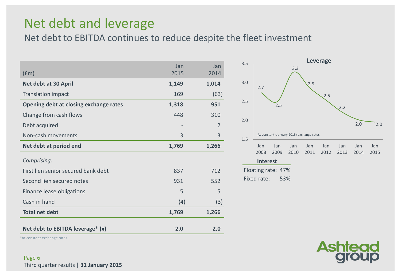### Net debt and leverage

Net debt to EBITDA continues to reduce despite the fleet investment

| $(\text{fm})$                          | Jan<br>2015 | Jan<br>2014    |
|----------------------------------------|-------------|----------------|
| Net debt at 30 April                   | 1,149       | 1,014          |
| <b>Translation impact</b>              | 169         | (63)           |
| Opening debt at closing exchange rates | 1,318       | 951            |
| Change from cash flows                 | 448         | 310            |
| Debt acquired                          |             | $\overline{2}$ |
| Non-cash movements                     | 3           | 3              |
| Net debt at period end                 | 1,769       | 1,266          |
| Comprising:                            |             |                |
| First lien senior secured bank debt    | 837         | 712            |
| Second lien secured notes              | 931         | 552            |
| Finance lease obligations              | 5           | 5              |
| Cash in hand                           | (4)         | (3)            |
| <b>Total net debt</b>                  | 1,769       | 1,266          |
| Net debt to EBITDA leverage* (x)       | 2.0         | 2.0            |



**Ashter** 

\*At constant exchange rates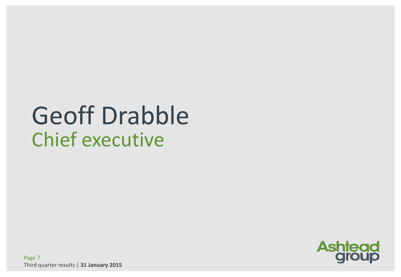# Geoff Drabble Chief executive

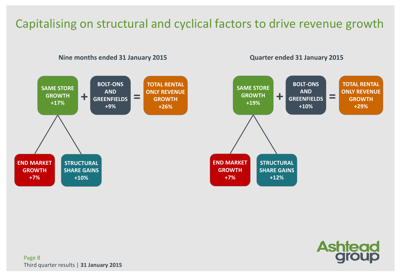### Capitalising on structural and cyclical factors to drive revenue growth



**Ashtead** 

Page 8 Third quarter results | **31 January 2015**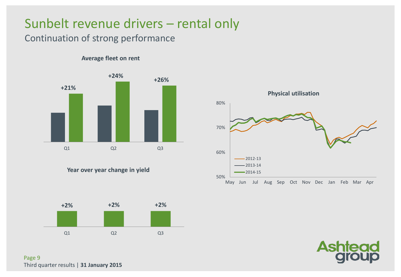### Sunbelt revenue drivers – rental only

### Continuation of strong performance

#### **Average fleet on rent**



**Year over year change in yield**







Page 9 Third quarter results | **31 January 2015**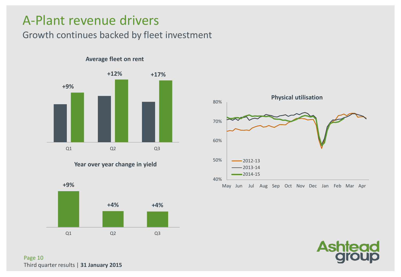### A-Plant revenue drivers

### Growth continues backed by fleet investment



#### **Average fleet on rent**









Page 10 Third quarter results | **31 January 2015**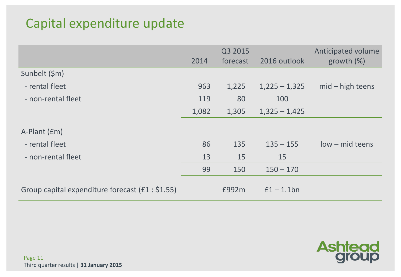### Capital expenditure update

|                                                   | 2014  | Q3 2015<br>forecast | 2016 outlook    | Anticipated volume<br>growth $(\%)$ |
|---------------------------------------------------|-------|---------------------|-----------------|-------------------------------------|
| Sunbelt (\$m)                                     |       |                     |                 |                                     |
| - rental fleet                                    | 963   | 1,225               | $1,225 - 1,325$ | $mid - high$ teens                  |
| - non-rental fleet                                | 119   | 80                  | 100             |                                     |
|                                                   | 1,082 | 1,305               | $1,325 - 1,425$ |                                     |
| A-Plant (£m)                                      |       |                     |                 |                                     |
| - rental fleet                                    | 86    | 135                 | $135 - 155$     | low - mid teens                     |
| - non-rental fleet                                | 13    | 15                  | 15              |                                     |
|                                                   | 99    | 150                 | $150 - 170$     |                                     |
| Group capital expenditure forecast $(f1 : $1.55)$ |       | £992m               | $f1 - 1.1$ bn   |                                     |

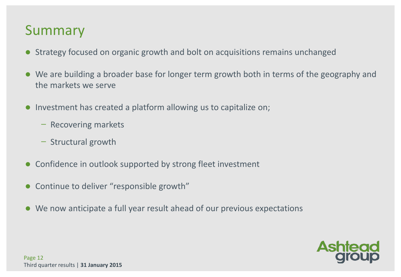### Summary

- Strategy focused on organic growth and bolt on acquisitions remains unchanged
- We are building a broader base for longer term growth both in terms of the geography and the markets we serve
- Investment has created a platform allowing us to capitalize on;
	- ̶ Recovering markets
	- ̶ Structural growth
- Confidence in outlook supported by strong fleet investment
- Continue to deliver "responsible growth"
- We now anticipate a full year result ahead of our previous expectations

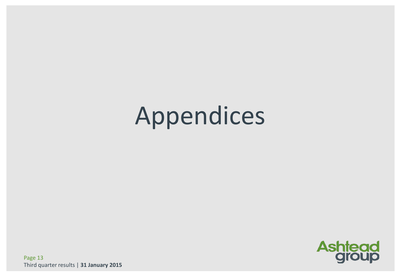# Appendices



Page 13 Third quarter results | **31 January 2015**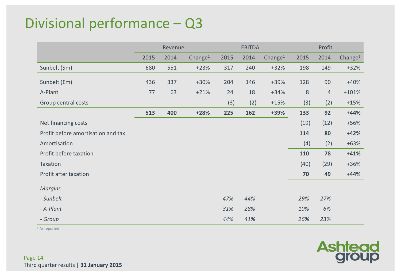### Divisional performance – Q3

|                                    | Revenue |      |                          |      | <b>EBITDA</b> |                     |        | Profit         |            |  |
|------------------------------------|---------|------|--------------------------|------|---------------|---------------------|--------|----------------|------------|--|
|                                    | 2015    | 2014 | Change <sup>1</sup>      | 2015 | 2014          | Change <sup>1</sup> | 2015   | 2014           | Change $1$ |  |
| Sunbelt (\$m)                      | 680     | 551  | $+23%$                   | 317  | 240           | $+32%$              | 198    | 149            | $+32%$     |  |
| Sunbelt (£m)                       | 436     | 337  | $+30%$                   | 204  | 146           | $+39%$              | 128    | 90             | $+40%$     |  |
| A-Plant                            | 77      | 63   | $+21%$                   | 24   | 18            | $+34%$              | $\, 8$ | $\overline{4}$ | $+101%$    |  |
| Group central costs                |         |      | $\overline{\phantom{a}}$ | (3)  | (2)           | $+15%$              | (3)    | (2)            | $+15%$     |  |
|                                    | 513     | 400  | $+28%$                   | 225  | 162           | +39%                | 133    | 92             | $+44%$     |  |
| Net financing costs                |         |      |                          |      |               |                     | (19)   | (12)           | $+56%$     |  |
| Profit before amortisation and tax |         |      |                          |      |               |                     | 114    | 80             | $+42%$     |  |
| Amortisation                       |         |      |                          |      |               |                     | (4)    | (2)            | $+63%$     |  |
| Profit before taxation             |         |      |                          |      |               |                     | 110    | 78             | $+41%$     |  |
| Taxation                           |         |      |                          |      |               |                     | (40)   | (29)           | $+36%$     |  |
| Profit after taxation              |         |      |                          |      |               |                     | 70     | 49             | $+44%$     |  |
| <b>Margins</b>                     |         |      |                          |      |               |                     |        |                |            |  |
| - Sunbelt                          |         |      |                          | 47%  | 44%           |                     | 29%    | 27%            |            |  |
| - A-Plant                          |         |      |                          | 31%  | 28%           |                     | 10%    | 6%             |            |  |
| - Group                            |         |      |                          | 44%  | 41%           |                     | 26%    | 23%            |            |  |

<sup>1</sup> As reported

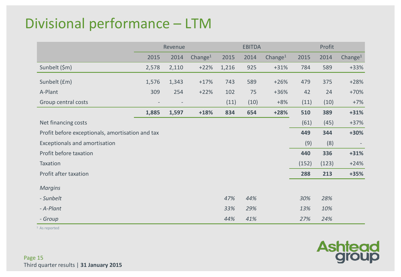### Divisional performance – LTM

|                                                  | Revenue |       |                     |       | <b>EBITDA</b> |            | Profit |       |                     |  |
|--------------------------------------------------|---------|-------|---------------------|-------|---------------|------------|--------|-------|---------------------|--|
|                                                  | 2015    | 2014  | Change <sup>1</sup> | 2015  | 2014          | Change $1$ | 2015   | 2014  | Change <sup>1</sup> |  |
| Sunbelt (\$m)                                    | 2,578   | 2,110 | $+22%$              | 1,216 | 925           | $+31%$     | 784    | 589   | $+33%$              |  |
| Sunbelt (£m)                                     | 1,576   | 1,343 | $+17%$              | 743   | 589           | $+26%$     | 479    | 375   | $+28%$              |  |
| A-Plant                                          | 309     | 254   | $+22%$              | 102   | 75            | $+36%$     | 42     | 24    | $+70%$              |  |
| Group central costs                              |         |       |                     | (11)  | (10)          | $+8%$      | (11)   | (10)  | $+7%$               |  |
|                                                  | 1,885   | 1,597 | $+18%$              | 834   | 654           | $+28%$     | 510    | 389   | $+31%$              |  |
| Net financing costs                              |         |       |                     |       |               |            | (61)   | (45)  | $+37%$              |  |
| Profit before exceptionals, amortisation and tax |         |       |                     |       |               |            | 449    | 344   | +30%                |  |
| Exceptionals and amortisation                    |         |       |                     |       |               |            | (9)    | (8)   |                     |  |
| Profit before taxation                           |         |       |                     |       |               |            | 440    | 336   | $+31%$              |  |
| Taxation                                         |         |       |                     |       |               |            | (152)  | (123) | $+24%$              |  |
| Profit after taxation                            |         |       |                     |       |               |            | 288    | 213   | $+35%$              |  |
| <b>Margins</b>                                   |         |       |                     |       |               |            |        |       |                     |  |
| - Sunbelt                                        |         |       |                     | 47%   | 44%           |            | 30%    | 28%   |                     |  |
| - A-Plant                                        |         |       |                     | 33%   | 29%           |            | 13%    | 10%   |                     |  |
| - Group                                          |         |       |                     | 44%   | 41%           |            | 27%    | 24%   |                     |  |

<sup>1</sup> As reported

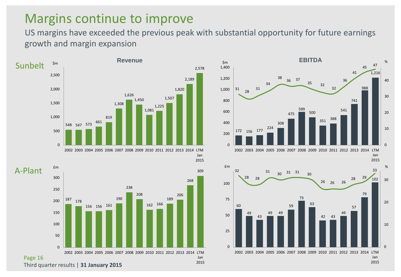### Margins continue to improve

US margins have exceeded the previous peak with substantial opportunity for future earnings growth and margin expansion



Third quarter results | **31 January 2015**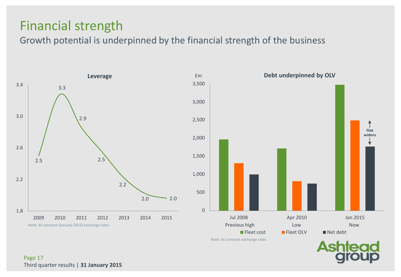### Financial strength

Growth potential is underpinned by the financial strength of the business



Note: At constant exchange rates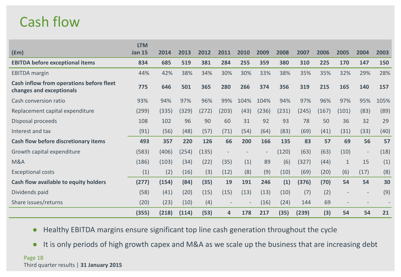### Cash flow

| f(m)                                                                 | <b>LTM</b><br><b>Jan 15</b> | 2014  | 2013  | 2012  | 2011  | 2010              | 2009                     | 2008  | 2007  | 2006  | 2005                     | 2004                     | 2003 |
|----------------------------------------------------------------------|-----------------------------|-------|-------|-------|-------|-------------------|--------------------------|-------|-------|-------|--------------------------|--------------------------|------|
| <b>EBITDA before exceptional items</b>                               | 834                         | 685   | 519   | 381   | 284   | 255               | 359                      | 380   | 310   | 225   | 170                      | 147                      | 150  |
| <b>EBITDA</b> margin                                                 | 44%                         | 42%   | 38%   | 34%   | 30%   | 30%               | 33%                      | 38%   | 35%   | 35%   | 32%                      | 29%                      | 28%  |
| Cash inflow from operations before fleet<br>changes and exceptionals | 775                         | 646   | 501   | 365   | 280   | 266               | 374                      | 356   | 319   | 215   | 165                      | 140                      | 157  |
| Cash conversion ratio                                                | 93%                         | 94%   | 97%   | 96%   | 99%   | 104%              | 104%                     | 94%   | 97%   | 96%   | 97%                      | 95%                      | 105% |
| Replacement capital expenditure                                      | (299)                       | (335) | (329) | (272) | (203) | (43)              | (236)                    | (231) | (245) | (167) | (101)                    | (83)                     | (89) |
| Disposal proceeds                                                    | 108                         | 102   | 96    | 90    | 60    | 31                | 92                       | 93    | 78    | 50    | 36                       | 32                       | 29   |
| Interest and tax                                                     | (91)                        | (56)  | (48)  | (57)  | (71)  | (54)              | (64)                     | (83)  | (69)  | (41)  | (31)                     | (33)                     | (40) |
| Cash flow before discretionary items                                 | 493                         | 357   | 220   | 126   | 66    | 200               | 166                      | 135   | 83    | 57    | 69                       | 56                       | 57   |
| Growth capital expenditure                                           | (583)                       | (406) | (254) | (135) |       |                   | $\overline{\phantom{a}}$ | (120) | (63)  | (63)  | (10)                     | $\overline{\phantom{a}}$ | (18) |
| <b>M&amp;A</b>                                                       | (186)                       | (103) | (34)  | (22)  | (35)  | (1)               | 89                       | (6)   | (327) | (44)  | $\mathbf{1}$             | 15                       | (1)  |
| <b>Exceptional costs</b>                                             | (1)                         | (2)   | (16)  | (3)   | (12)  | (8)               | (9)                      | (10)  | (69)  | (20)  | (6)                      | (17)                     | (8)  |
| Cash flow available to equity holders                                | (277)                       | (154) | (84)  | (35)  | 19    | 191               | 246                      | (1)   | (376) | (70)  | 54                       | 54                       | 30   |
| Dividends paid                                                       | (58)                        | (41)  | (20)  | (15)  | (15)  | (13)              | (13)                     | (10)  | (7)   | (2)   | $\overline{\phantom{a}}$ | $\overline{\phantom{a}}$ | (9)  |
| Share issues/returns                                                 | (20)                        | (23)  | (10)  | (4)   |       | $\qquad \qquad -$ | (16)                     | (24)  | 144   | 69    | $\overline{\phantom{a}}$ |                          |      |
|                                                                      | (355)                       | (218) | (114) | (53)  | 4     | 178               | 217                      | (35)  | (239) | (3)   | 54                       | 54                       | 21   |

● Healthy EBITDA margins ensure significant top line cash generation throughout the cycle

● It is only periods of high growth capex and M&A as we scale up the business that are increasing debt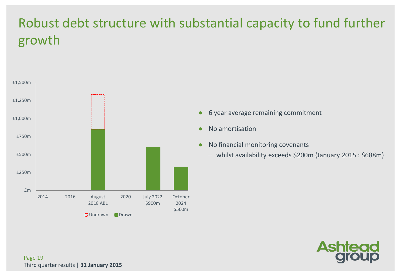### Robust debt structure with substantial capacity to fund further growth



- 6 year average remaining commitment
- No amortisation
- No financial monitoring covenants
	- whilst availability exceeds \$200m (January 2015 : \$688m)

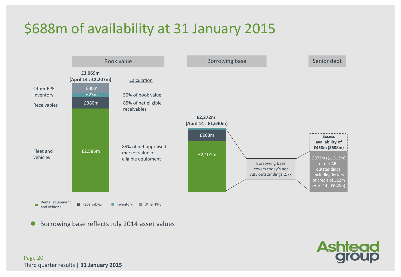## \$688m of availability at 31 January 2015



Borrowing base reflects July 2014 asset values